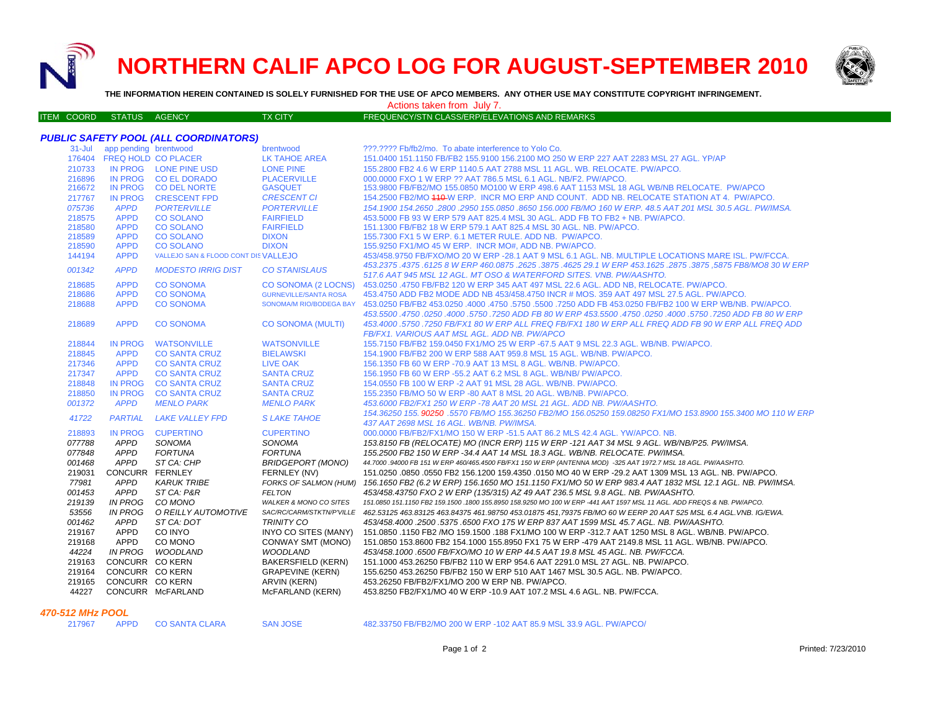**NORTHERN CALIF APCO LOG FOR AUGUST-SEPTEMBER 2010**



**THE INFORMATION HEREIN CONTAINED IS SOLELY FURNISHED FOR THE USE OF APCO MEMBERS. ANY OTHER USE MAY CONSTITUTE COPYRIGHT INFRINGEMENT.**

Actions taken from July 7.

| ITEM COORD STATUS AGENCY | TX CITY <sup>1</sup> | FREQUENCY/STN CLASS/ERP/ELEVATIONS AND REMARKS |
|--------------------------|----------------------|------------------------------------------------|

| $31 -$ Jul<br>app pending brentwood<br>???.???? Fb/fb2/mo. To abate interference to Yolo Co.<br>brentwood<br>176404 FREQ HOLD CO PLACER<br>151.0400 151.1150 FB/FB2 155.9100 156.2100 MO 250 W ERP 227 AAT 2283 MSL 27 AGL, YP/AP<br>LK TAHOE AREA<br>IN PROG LONE PINE USD<br>210733<br><b>LONE PINE</b><br>155.2800 FB2 4.6 W ERP 1140.5 AAT 2788 MSL 11 AGL. WB. RELOCATE. PW/APCO.<br>IN PROG CO EL DORADO<br>216896<br><b>PLACERVILLE</b><br>000,0000 FXO 1 W ERP ?? AAT 786.5 MSL 6.1 AGL, NB/F2, PW/APCO.<br><b>IN PROG</b><br>216672<br><b>CO DEL NORTE</b><br><b>GASQUET</b><br>153.9800 FB/FB2/MO 155.0850 MO100 W ERP 498.6 AAT 1153 MSL 18 AGL WB/NB RELOCATE. PW/APCO<br><b>IN PROG</b><br><b>CRESCENT FPD</b><br><b>CRESCENT CI</b><br>154.2500 FB2/MO 440-W ERP. INCR MO ERP AND COUNT. ADD NB. RELOCATE STATION AT 4. PW/APCO.<br>217767<br><b>APPD</b><br>075736<br><b>PORTERVILLE</b><br><b>PORTERVILLE</b><br>154.1900 154.2650 .2800 .2950 155.0850 .8650 156.000 FB/MO 160 W ERP. 48.5 AAT 201 MSL 30.5 AGL. PW/IMSA.<br><b>APPD</b><br>218575<br><b>CO SOLANO</b><br><b>FAIRFIELD</b><br>453,5000 FB 93 W ERP 579 AAT 825.4 MSL 30 AGL, ADD FB TO FB2 + NB, PW/APCO,<br><b>CO SOLANO</b><br>151.1300 FB/FB2 18 W ERP 579.1 AAT 825.4 MSL 30 AGL, NB, PW/APCO,<br>218580<br><b>APPD</b><br><b>FAIRFIELD</b><br><b>CO SOLANO</b><br>155.7300 FX1 5 W ERP. 6.1 METER RULE. ADD NB. PW/APCO.<br>218589<br><b>APPD</b><br><b>DIXON</b><br>218590<br><b>APPD</b><br><b>CO SOLANO</b><br><b>DIXON</b><br>155,9250 FX1/MO 45 W ERP. INCR MO#, ADD NB, PW/APCO.<br>VALLEJO SAN & FLOOD CONT DIS VALLEJO<br>453/458.9750 FB/FXO/MO 20 W ERP -28.1 AAT 9 MSL 6.1 AGL. NB. MULTIPLE LOCATIONS MARE ISL. PW/FCCA.<br>144194<br><b>APPD</b><br>453.2375 .4375 .6875 FB8/MO8 30 W ERP 460.0875 .2625 .3875 .4625 29.1 W ERP 453.1625 .2875 .3875 .6875 FB8/MO8<br><b>APPD</b><br><b>MODESTO IRRIG DIST</b><br><b>CO STANISLAUS</b><br>001342<br>517.6 AAT 945 MSL 12 AGL. MT OSO & WATERFORD SITES. VNB. PW/AASHTO.<br>218685<br><b>APPD</b><br><b>CO SONOMA</b><br>CO SONOMA (2 LOCNS)<br>453,0250 .4750 FB/FB2 120 W ERP 345 AAT 497 MSL 22.6 AGL, ADD NB, RELOCATE, PW/APCO,<br>218686<br><b>APPD</b><br><b>CO SONOMA</b><br>453.4750 ADD FB2 MODE ADD NB 453/458.4750 INCR # MOS. 359 AAT 497 MSL 27.5 AGL. PW/APCO.<br><b>GURNEVILLE/SANTA ROSA</b><br><b>APPD</b><br><b>CO SONOMA</b><br>218688<br>SONOMA/M RIO/BODEGA BAY<br>.463.0250 FB/FB2 453.0250 ADD FB 453.0250 FB/FB2 100 W ERP WB/NB. PW/APCO.<br>453.5500 .4750 .0250 ADD FB 80 W ERP 453.5500 .4750 .0250 .0250 .5750 .5750 .0250 .0250 .0250 .0250 .<br><b>APPD</b><br><b>CO SONOMA</b><br>CO SONOMA (MULTI)<br>453.4000 .5750 .7250 FB/FX1 80 W ERP ALL FREQ FB/FX1 180 W ERP ALL FREQ ADD FB 90 W ERP ALL FREQ ADD<br>218689<br>FB/FX1. VARIOUS AAT MSL AGL. ADD NB. PW/APCO<br><b>IN PROG</b><br><b>WATSONVILLE</b><br><b>WATSONVILLE</b><br>155.7150 FB/FB2 159.0450 FX1/MO 25 W ERP -67.5 AAT 9 MSL 22.3 AGL. WB/NB. PW/APCO.<br>218844<br>218845<br><b>APPD</b><br><b>BIELAWSKI</b><br>154,1900 FB/FB2 200 W ERP 588 AAT 959.8 MSL 15 AGL, WB/NB, PW/APCO,<br><b>CO SANTA CRUZ</b><br><b>APPD</b><br>217346<br><b>CO SANTA CRUZ</b><br>LIVE OAK<br>156.1350 FB 60 W ERP -70.9 AAT 13 MSL 8 AGL, WB/NB, PW/APCO, |  | PUBLIC SAFETY POOL (ALL COORDINATORS) |                                                                                                             |
|-------------------------------------------------------------------------------------------------------------------------------------------------------------------------------------------------------------------------------------------------------------------------------------------------------------------------------------------------------------------------------------------------------------------------------------------------------------------------------------------------------------------------------------------------------------------------------------------------------------------------------------------------------------------------------------------------------------------------------------------------------------------------------------------------------------------------------------------------------------------------------------------------------------------------------------------------------------------------------------------------------------------------------------------------------------------------------------------------------------------------------------------------------------------------------------------------------------------------------------------------------------------------------------------------------------------------------------------------------------------------------------------------------------------------------------------------------------------------------------------------------------------------------------------------------------------------------------------------------------------------------------------------------------------------------------------------------------------------------------------------------------------------------------------------------------------------------------------------------------------------------------------------------------------------------------------------------------------------------------------------------------------------------------------------------------------------------------------------------------------------------------------------------------------------------------------------------------------------------------------------------------------------------------------------------------------------------------------------------------------------------------------------------------------------------------------------------------------------------------------------------------------------------------------------------------------------------------------------------------------------------------------------------------------------------------------------------------------------------------------------------------------------------------------------------------------------------------------------------------------------------------------------------------------------------------------------------------------------------------------------------------------------------------------------------------------------------------------------------------------------------------------------------------------------------------------------------------------------------------------------------------------------------------------------|--|---------------------------------------|-------------------------------------------------------------------------------------------------------------|
|                                                                                                                                                                                                                                                                                                                                                                                                                                                                                                                                                                                                                                                                                                                                                                                                                                                                                                                                                                                                                                                                                                                                                                                                                                                                                                                                                                                                                                                                                                                                                                                                                                                                                                                                                                                                                                                                                                                                                                                                                                                                                                                                                                                                                                                                                                                                                                                                                                                                                                                                                                                                                                                                                                                                                                                                                                                                                                                                                                                                                                                                                                                                                                                                                                                                                                 |  |                                       |                                                                                                             |
|                                                                                                                                                                                                                                                                                                                                                                                                                                                                                                                                                                                                                                                                                                                                                                                                                                                                                                                                                                                                                                                                                                                                                                                                                                                                                                                                                                                                                                                                                                                                                                                                                                                                                                                                                                                                                                                                                                                                                                                                                                                                                                                                                                                                                                                                                                                                                                                                                                                                                                                                                                                                                                                                                                                                                                                                                                                                                                                                                                                                                                                                                                                                                                                                                                                                                                 |  |                                       |                                                                                                             |
|                                                                                                                                                                                                                                                                                                                                                                                                                                                                                                                                                                                                                                                                                                                                                                                                                                                                                                                                                                                                                                                                                                                                                                                                                                                                                                                                                                                                                                                                                                                                                                                                                                                                                                                                                                                                                                                                                                                                                                                                                                                                                                                                                                                                                                                                                                                                                                                                                                                                                                                                                                                                                                                                                                                                                                                                                                                                                                                                                                                                                                                                                                                                                                                                                                                                                                 |  |                                       |                                                                                                             |
|                                                                                                                                                                                                                                                                                                                                                                                                                                                                                                                                                                                                                                                                                                                                                                                                                                                                                                                                                                                                                                                                                                                                                                                                                                                                                                                                                                                                                                                                                                                                                                                                                                                                                                                                                                                                                                                                                                                                                                                                                                                                                                                                                                                                                                                                                                                                                                                                                                                                                                                                                                                                                                                                                                                                                                                                                                                                                                                                                                                                                                                                                                                                                                                                                                                                                                 |  |                                       |                                                                                                             |
|                                                                                                                                                                                                                                                                                                                                                                                                                                                                                                                                                                                                                                                                                                                                                                                                                                                                                                                                                                                                                                                                                                                                                                                                                                                                                                                                                                                                                                                                                                                                                                                                                                                                                                                                                                                                                                                                                                                                                                                                                                                                                                                                                                                                                                                                                                                                                                                                                                                                                                                                                                                                                                                                                                                                                                                                                                                                                                                                                                                                                                                                                                                                                                                                                                                                                                 |  |                                       |                                                                                                             |
|                                                                                                                                                                                                                                                                                                                                                                                                                                                                                                                                                                                                                                                                                                                                                                                                                                                                                                                                                                                                                                                                                                                                                                                                                                                                                                                                                                                                                                                                                                                                                                                                                                                                                                                                                                                                                                                                                                                                                                                                                                                                                                                                                                                                                                                                                                                                                                                                                                                                                                                                                                                                                                                                                                                                                                                                                                                                                                                                                                                                                                                                                                                                                                                                                                                                                                 |  |                                       |                                                                                                             |
|                                                                                                                                                                                                                                                                                                                                                                                                                                                                                                                                                                                                                                                                                                                                                                                                                                                                                                                                                                                                                                                                                                                                                                                                                                                                                                                                                                                                                                                                                                                                                                                                                                                                                                                                                                                                                                                                                                                                                                                                                                                                                                                                                                                                                                                                                                                                                                                                                                                                                                                                                                                                                                                                                                                                                                                                                                                                                                                                                                                                                                                                                                                                                                                                                                                                                                 |  |                                       |                                                                                                             |
|                                                                                                                                                                                                                                                                                                                                                                                                                                                                                                                                                                                                                                                                                                                                                                                                                                                                                                                                                                                                                                                                                                                                                                                                                                                                                                                                                                                                                                                                                                                                                                                                                                                                                                                                                                                                                                                                                                                                                                                                                                                                                                                                                                                                                                                                                                                                                                                                                                                                                                                                                                                                                                                                                                                                                                                                                                                                                                                                                                                                                                                                                                                                                                                                                                                                                                 |  |                                       |                                                                                                             |
|                                                                                                                                                                                                                                                                                                                                                                                                                                                                                                                                                                                                                                                                                                                                                                                                                                                                                                                                                                                                                                                                                                                                                                                                                                                                                                                                                                                                                                                                                                                                                                                                                                                                                                                                                                                                                                                                                                                                                                                                                                                                                                                                                                                                                                                                                                                                                                                                                                                                                                                                                                                                                                                                                                                                                                                                                                                                                                                                                                                                                                                                                                                                                                                                                                                                                                 |  |                                       |                                                                                                             |
|                                                                                                                                                                                                                                                                                                                                                                                                                                                                                                                                                                                                                                                                                                                                                                                                                                                                                                                                                                                                                                                                                                                                                                                                                                                                                                                                                                                                                                                                                                                                                                                                                                                                                                                                                                                                                                                                                                                                                                                                                                                                                                                                                                                                                                                                                                                                                                                                                                                                                                                                                                                                                                                                                                                                                                                                                                                                                                                                                                                                                                                                                                                                                                                                                                                                                                 |  |                                       |                                                                                                             |
|                                                                                                                                                                                                                                                                                                                                                                                                                                                                                                                                                                                                                                                                                                                                                                                                                                                                                                                                                                                                                                                                                                                                                                                                                                                                                                                                                                                                                                                                                                                                                                                                                                                                                                                                                                                                                                                                                                                                                                                                                                                                                                                                                                                                                                                                                                                                                                                                                                                                                                                                                                                                                                                                                                                                                                                                                                                                                                                                                                                                                                                                                                                                                                                                                                                                                                 |  |                                       |                                                                                                             |
|                                                                                                                                                                                                                                                                                                                                                                                                                                                                                                                                                                                                                                                                                                                                                                                                                                                                                                                                                                                                                                                                                                                                                                                                                                                                                                                                                                                                                                                                                                                                                                                                                                                                                                                                                                                                                                                                                                                                                                                                                                                                                                                                                                                                                                                                                                                                                                                                                                                                                                                                                                                                                                                                                                                                                                                                                                                                                                                                                                                                                                                                                                                                                                                                                                                                                                 |  |                                       |                                                                                                             |
|                                                                                                                                                                                                                                                                                                                                                                                                                                                                                                                                                                                                                                                                                                                                                                                                                                                                                                                                                                                                                                                                                                                                                                                                                                                                                                                                                                                                                                                                                                                                                                                                                                                                                                                                                                                                                                                                                                                                                                                                                                                                                                                                                                                                                                                                                                                                                                                                                                                                                                                                                                                                                                                                                                                                                                                                                                                                                                                                                                                                                                                                                                                                                                                                                                                                                                 |  |                                       |                                                                                                             |
|                                                                                                                                                                                                                                                                                                                                                                                                                                                                                                                                                                                                                                                                                                                                                                                                                                                                                                                                                                                                                                                                                                                                                                                                                                                                                                                                                                                                                                                                                                                                                                                                                                                                                                                                                                                                                                                                                                                                                                                                                                                                                                                                                                                                                                                                                                                                                                                                                                                                                                                                                                                                                                                                                                                                                                                                                                                                                                                                                                                                                                                                                                                                                                                                                                                                                                 |  |                                       |                                                                                                             |
|                                                                                                                                                                                                                                                                                                                                                                                                                                                                                                                                                                                                                                                                                                                                                                                                                                                                                                                                                                                                                                                                                                                                                                                                                                                                                                                                                                                                                                                                                                                                                                                                                                                                                                                                                                                                                                                                                                                                                                                                                                                                                                                                                                                                                                                                                                                                                                                                                                                                                                                                                                                                                                                                                                                                                                                                                                                                                                                                                                                                                                                                                                                                                                                                                                                                                                 |  |                                       |                                                                                                             |
|                                                                                                                                                                                                                                                                                                                                                                                                                                                                                                                                                                                                                                                                                                                                                                                                                                                                                                                                                                                                                                                                                                                                                                                                                                                                                                                                                                                                                                                                                                                                                                                                                                                                                                                                                                                                                                                                                                                                                                                                                                                                                                                                                                                                                                                                                                                                                                                                                                                                                                                                                                                                                                                                                                                                                                                                                                                                                                                                                                                                                                                                                                                                                                                                                                                                                                 |  |                                       |                                                                                                             |
|                                                                                                                                                                                                                                                                                                                                                                                                                                                                                                                                                                                                                                                                                                                                                                                                                                                                                                                                                                                                                                                                                                                                                                                                                                                                                                                                                                                                                                                                                                                                                                                                                                                                                                                                                                                                                                                                                                                                                                                                                                                                                                                                                                                                                                                                                                                                                                                                                                                                                                                                                                                                                                                                                                                                                                                                                                                                                                                                                                                                                                                                                                                                                                                                                                                                                                 |  |                                       |                                                                                                             |
|                                                                                                                                                                                                                                                                                                                                                                                                                                                                                                                                                                                                                                                                                                                                                                                                                                                                                                                                                                                                                                                                                                                                                                                                                                                                                                                                                                                                                                                                                                                                                                                                                                                                                                                                                                                                                                                                                                                                                                                                                                                                                                                                                                                                                                                                                                                                                                                                                                                                                                                                                                                                                                                                                                                                                                                                                                                                                                                                                                                                                                                                                                                                                                                                                                                                                                 |  |                                       |                                                                                                             |
|                                                                                                                                                                                                                                                                                                                                                                                                                                                                                                                                                                                                                                                                                                                                                                                                                                                                                                                                                                                                                                                                                                                                                                                                                                                                                                                                                                                                                                                                                                                                                                                                                                                                                                                                                                                                                                                                                                                                                                                                                                                                                                                                                                                                                                                                                                                                                                                                                                                                                                                                                                                                                                                                                                                                                                                                                                                                                                                                                                                                                                                                                                                                                                                                                                                                                                 |  |                                       |                                                                                                             |
|                                                                                                                                                                                                                                                                                                                                                                                                                                                                                                                                                                                                                                                                                                                                                                                                                                                                                                                                                                                                                                                                                                                                                                                                                                                                                                                                                                                                                                                                                                                                                                                                                                                                                                                                                                                                                                                                                                                                                                                                                                                                                                                                                                                                                                                                                                                                                                                                                                                                                                                                                                                                                                                                                                                                                                                                                                                                                                                                                                                                                                                                                                                                                                                                                                                                                                 |  |                                       |                                                                                                             |
|                                                                                                                                                                                                                                                                                                                                                                                                                                                                                                                                                                                                                                                                                                                                                                                                                                                                                                                                                                                                                                                                                                                                                                                                                                                                                                                                                                                                                                                                                                                                                                                                                                                                                                                                                                                                                                                                                                                                                                                                                                                                                                                                                                                                                                                                                                                                                                                                                                                                                                                                                                                                                                                                                                                                                                                                                                                                                                                                                                                                                                                                                                                                                                                                                                                                                                 |  |                                       |                                                                                                             |
|                                                                                                                                                                                                                                                                                                                                                                                                                                                                                                                                                                                                                                                                                                                                                                                                                                                                                                                                                                                                                                                                                                                                                                                                                                                                                                                                                                                                                                                                                                                                                                                                                                                                                                                                                                                                                                                                                                                                                                                                                                                                                                                                                                                                                                                                                                                                                                                                                                                                                                                                                                                                                                                                                                                                                                                                                                                                                                                                                                                                                                                                                                                                                                                                                                                                                                 |  |                                       |                                                                                                             |
|                                                                                                                                                                                                                                                                                                                                                                                                                                                                                                                                                                                                                                                                                                                                                                                                                                                                                                                                                                                                                                                                                                                                                                                                                                                                                                                                                                                                                                                                                                                                                                                                                                                                                                                                                                                                                                                                                                                                                                                                                                                                                                                                                                                                                                                                                                                                                                                                                                                                                                                                                                                                                                                                                                                                                                                                                                                                                                                                                                                                                                                                                                                                                                                                                                                                                                 |  |                                       |                                                                                                             |
| <b>APPD</b><br><b>CO SANTA CRUZ</b><br><b>SANTA CRUZ</b><br>156.1950 FB 60 W ERP -55.2 AAT 6.2 MSL 8 AGL. WB/NB/ PW/APCO.<br>217347                                                                                                                                                                                                                                                                                                                                                                                                                                                                                                                                                                                                                                                                                                                                                                                                                                                                                                                                                                                                                                                                                                                                                                                                                                                                                                                                                                                                                                                                                                                                                                                                                                                                                                                                                                                                                                                                                                                                                                                                                                                                                                                                                                                                                                                                                                                                                                                                                                                                                                                                                                                                                                                                                                                                                                                                                                                                                                                                                                                                                                                                                                                                                             |  |                                       |                                                                                                             |
| 218848<br><b>IN PROG</b><br><b>CO SANTA CRUZ</b><br><b>SANTA CRUZ</b><br>154.0550 FB 100 W ERP -2 AAT 91 MSL 28 AGL. WB/NB. PW/APCO.                                                                                                                                                                                                                                                                                                                                                                                                                                                                                                                                                                                                                                                                                                                                                                                                                                                                                                                                                                                                                                                                                                                                                                                                                                                                                                                                                                                                                                                                                                                                                                                                                                                                                                                                                                                                                                                                                                                                                                                                                                                                                                                                                                                                                                                                                                                                                                                                                                                                                                                                                                                                                                                                                                                                                                                                                                                                                                                                                                                                                                                                                                                                                            |  |                                       |                                                                                                             |
| 218850<br><b>IN PROG</b><br><b>CO SANTA CRUZ</b><br><b>SANTA CRUZ</b><br>155,2350 FB/MO 50 W ERP -80 AAT 8 MSL 20 AGL, WB/NB, PW/APCO,                                                                                                                                                                                                                                                                                                                                                                                                                                                                                                                                                                                                                                                                                                                                                                                                                                                                                                                                                                                                                                                                                                                                                                                                                                                                                                                                                                                                                                                                                                                                                                                                                                                                                                                                                                                                                                                                                                                                                                                                                                                                                                                                                                                                                                                                                                                                                                                                                                                                                                                                                                                                                                                                                                                                                                                                                                                                                                                                                                                                                                                                                                                                                          |  |                                       |                                                                                                             |
| <b>APPD</b><br><b>MENLO PARK</b><br>001372<br><b>MENLO PARK</b><br>453.6000 FB2/FX1 250 W ERP -78 AAT 20 MSL 21 AGL, ADD NB, PW/AASHTO,                                                                                                                                                                                                                                                                                                                                                                                                                                                                                                                                                                                                                                                                                                                                                                                                                                                                                                                                                                                                                                                                                                                                                                                                                                                                                                                                                                                                                                                                                                                                                                                                                                                                                                                                                                                                                                                                                                                                                                                                                                                                                                                                                                                                                                                                                                                                                                                                                                                                                                                                                                                                                                                                                                                                                                                                                                                                                                                                                                                                                                                                                                                                                         |  |                                       |                                                                                                             |
| 41722<br><b>PARTIAL</b><br><b>LAKE VALLEY FPD</b><br><b>SLAKE TAHOE</b><br>437 AAT 2698 MSL 16 AGL. WB/NB. PW/IMSA.                                                                                                                                                                                                                                                                                                                                                                                                                                                                                                                                                                                                                                                                                                                                                                                                                                                                                                                                                                                                                                                                                                                                                                                                                                                                                                                                                                                                                                                                                                                                                                                                                                                                                                                                                                                                                                                                                                                                                                                                                                                                                                                                                                                                                                                                                                                                                                                                                                                                                                                                                                                                                                                                                                                                                                                                                                                                                                                                                                                                                                                                                                                                                                             |  |                                       | 154.36250 155, 90250 .5570 FB/MO 155.36250 FB2/MO 156.05250 159.08250 FX1/MO 153.8900 155.3400 MO 110 W ERP |
| <b>CUPERTINO</b><br>000,0000 FB/FB2/FX1/MO 150 W ERP -51.5 AAT 86.2 MLS 42.4 AGL, YW/APCO, NB.<br>218893<br><b>IN PROG</b><br><b>CUPERTINO</b>                                                                                                                                                                                                                                                                                                                                                                                                                                                                                                                                                                                                                                                                                                                                                                                                                                                                                                                                                                                                                                                                                                                                                                                                                                                                                                                                                                                                                                                                                                                                                                                                                                                                                                                                                                                                                                                                                                                                                                                                                                                                                                                                                                                                                                                                                                                                                                                                                                                                                                                                                                                                                                                                                                                                                                                                                                                                                                                                                                                                                                                                                                                                                  |  |                                       |                                                                                                             |
| APPD<br><b>SONOMA</b><br>SONOMA<br>153.8150 FB (RELOCATE) MO (INCR ERP) 115 W ERP -121 AAT 34 MSL 9 AGL. WB/NB/P25. PW/IMSA.<br>077788                                                                                                                                                                                                                                                                                                                                                                                                                                                                                                                                                                                                                                                                                                                                                                                                                                                                                                                                                                                                                                                                                                                                                                                                                                                                                                                                                                                                                                                                                                                                                                                                                                                                                                                                                                                                                                                                                                                                                                                                                                                                                                                                                                                                                                                                                                                                                                                                                                                                                                                                                                                                                                                                                                                                                                                                                                                                                                                                                                                                                                                                                                                                                          |  |                                       |                                                                                                             |
| 077848<br><b>APPD</b><br><b>FORTUNA</b><br><b>FORTUNA</b><br>155.2500 FB2 150 W ERP -34.4 AAT 14 MSL 18.3 AGL, WB/NB, RELOCATE, PW/IMSA.                                                                                                                                                                                                                                                                                                                                                                                                                                                                                                                                                                                                                                                                                                                                                                                                                                                                                                                                                                                                                                                                                                                                                                                                                                                                                                                                                                                                                                                                                                                                                                                                                                                                                                                                                                                                                                                                                                                                                                                                                                                                                                                                                                                                                                                                                                                                                                                                                                                                                                                                                                                                                                                                                                                                                                                                                                                                                                                                                                                                                                                                                                                                                        |  |                                       |                                                                                                             |
| 001468<br><b>APPD</b><br>ST CA: CHP<br>BRIDGEPORT (MONO)<br>44.7000 .94000 FB 151 W ERP 460/465.4500 FB/FX1 150 W ERP (ANTENNA MOD) -325 AAT 1972.7 MSL 18 AGL. PW/AASHTO.                                                                                                                                                                                                                                                                                                                                                                                                                                                                                                                                                                                                                                                                                                                                                                                                                                                                                                                                                                                                                                                                                                                                                                                                                                                                                                                                                                                                                                                                                                                                                                                                                                                                                                                                                                                                                                                                                                                                                                                                                                                                                                                                                                                                                                                                                                                                                                                                                                                                                                                                                                                                                                                                                                                                                                                                                                                                                                                                                                                                                                                                                                                      |  |                                       |                                                                                                             |
| CONCURR FERNLEY<br>151.0250 .0850 .0550 FB2 156.1200 159.4350 .0150 MO 40 W ERP -29.2 AAT 1309 MSL 13 AGL. NB. PW/APCO.<br>219031<br>FERNLEY (NV)                                                                                                                                                                                                                                                                                                                                                                                                                                                                                                                                                                                                                                                                                                                                                                                                                                                                                                                                                                                                                                                                                                                                                                                                                                                                                                                                                                                                                                                                                                                                                                                                                                                                                                                                                                                                                                                                                                                                                                                                                                                                                                                                                                                                                                                                                                                                                                                                                                                                                                                                                                                                                                                                                                                                                                                                                                                                                                                                                                                                                                                                                                                                               |  |                                       |                                                                                                             |
| <b>APPD</b><br>77981<br><b>KARUK TRIBE</b><br><b>FORKS OF SALMON (HUM)</b><br>156.1650 FB2 (6.2 W ERP) 156.1650 MO 151.1150 FX1/MO 50 W ERP 983.4 AAT 1832 MSL 12.1 AGL. NB. PW/IMSA.                                                                                                                                                                                                                                                                                                                                                                                                                                                                                                                                                                                                                                                                                                                                                                                                                                                                                                                                                                                                                                                                                                                                                                                                                                                                                                                                                                                                                                                                                                                                                                                                                                                                                                                                                                                                                                                                                                                                                                                                                                                                                                                                                                                                                                                                                                                                                                                                                                                                                                                                                                                                                                                                                                                                                                                                                                                                                                                                                                                                                                                                                                           |  |                                       |                                                                                                             |
| 001453<br>APPD<br>ST CA: P&R<br><b>FELTON</b><br>453/458.43750 FXO 2 W ERP (135/315) AZ 49 AAT 236.5 MSL 9.8 AGL. NB. PW/AASHTO.                                                                                                                                                                                                                                                                                                                                                                                                                                                                                                                                                                                                                                                                                                                                                                                                                                                                                                                                                                                                                                                                                                                                                                                                                                                                                                                                                                                                                                                                                                                                                                                                                                                                                                                                                                                                                                                                                                                                                                                                                                                                                                                                                                                                                                                                                                                                                                                                                                                                                                                                                                                                                                                                                                                                                                                                                                                                                                                                                                                                                                                                                                                                                                |  |                                       |                                                                                                             |
| <b>IN PROG</b><br>219139<br>CO MONO<br><b>WALKER &amp; MONO CO SITES</b><br>151.0850 151.1150 FB2 159.1500 .1800 155.8950 158.9250 MO 100 W ERP -441 AAT 1597 MSL 11 AGL. ADD FREQS & NB. PW/APCO.                                                                                                                                                                                                                                                                                                                                                                                                                                                                                                                                                                                                                                                                                                                                                                                                                                                                                                                                                                                                                                                                                                                                                                                                                                                                                                                                                                                                                                                                                                                                                                                                                                                                                                                                                                                                                                                                                                                                                                                                                                                                                                                                                                                                                                                                                                                                                                                                                                                                                                                                                                                                                                                                                                                                                                                                                                                                                                                                                                                                                                                                                              |  |                                       |                                                                                                             |
| <b>IN PROG</b><br>53556<br>O REILLY AUTOMOTIVE<br>SAC/RC/CARM/STKTN/P'VILLE 462.53125 463.83125 463.84375 461.98750 453.01875 451,79375 FB/MO 60 W EERP 20 AAT 525 MSL 6.4 AGL.VNB. IG/EWA.                                                                                                                                                                                                                                                                                                                                                                                                                                                                                                                                                                                                                                                                                                                                                                                                                                                                                                                                                                                                                                                                                                                                                                                                                                                                                                                                                                                                                                                                                                                                                                                                                                                                                                                                                                                                                                                                                                                                                                                                                                                                                                                                                                                                                                                                                                                                                                                                                                                                                                                                                                                                                                                                                                                                                                                                                                                                                                                                                                                                                                                                                                     |  |                                       |                                                                                                             |
| 001462<br><b>APPD</b><br>ST CA: DOT<br><b>TRINITY CO</b><br>453/458.4000 .2500 .5375 .6500 FXO 175 W ERP 837 AAT 1599 MSL 45.7 AGL. NB. PW/AASHTO.                                                                                                                                                                                                                                                                                                                                                                                                                                                                                                                                                                                                                                                                                                                                                                                                                                                                                                                                                                                                                                                                                                                                                                                                                                                                                                                                                                                                                                                                                                                                                                                                                                                                                                                                                                                                                                                                                                                                                                                                                                                                                                                                                                                                                                                                                                                                                                                                                                                                                                                                                                                                                                                                                                                                                                                                                                                                                                                                                                                                                                                                                                                                              |  |                                       |                                                                                                             |
| <b>APPD</b><br>CO INYO<br>219167<br>INYO CO SITES (MANY)<br>151.0850 .1150 FB2 /MO 159.1500 .188 FX1/MO 100 W ERP -312.7 AAT 1250 MSL 8 AGL. WB/NB. PW/APCO.                                                                                                                                                                                                                                                                                                                                                                                                                                                                                                                                                                                                                                                                                                                                                                                                                                                                                                                                                                                                                                                                                                                                                                                                                                                                                                                                                                                                                                                                                                                                                                                                                                                                                                                                                                                                                                                                                                                                                                                                                                                                                                                                                                                                                                                                                                                                                                                                                                                                                                                                                                                                                                                                                                                                                                                                                                                                                                                                                                                                                                                                                                                                    |  |                                       |                                                                                                             |
| 219168<br>APPD<br>CO MONO<br>CONWAY SMT (MONO)<br>151.0850 153.8600 FB2 154.1000 155.8950 FX1 75 W ERP -479 AAT 2149.8 MSL 11 AGL. WB/NB. PW/APCO.                                                                                                                                                                                                                                                                                                                                                                                                                                                                                                                                                                                                                                                                                                                                                                                                                                                                                                                                                                                                                                                                                                                                                                                                                                                                                                                                                                                                                                                                                                                                                                                                                                                                                                                                                                                                                                                                                                                                                                                                                                                                                                                                                                                                                                                                                                                                                                                                                                                                                                                                                                                                                                                                                                                                                                                                                                                                                                                                                                                                                                                                                                                                              |  |                                       |                                                                                                             |
| 44224<br>IN PROG<br>WOODLAND<br><b>WOODLAND</b><br>453/458.1000.6500 FB/FXO/MO 10 W ERP 44.5 AAT 19.8 MSL 45 AGL. NB. PW/FCCA.                                                                                                                                                                                                                                                                                                                                                                                                                                                                                                                                                                                                                                                                                                                                                                                                                                                                                                                                                                                                                                                                                                                                                                                                                                                                                                                                                                                                                                                                                                                                                                                                                                                                                                                                                                                                                                                                                                                                                                                                                                                                                                                                                                                                                                                                                                                                                                                                                                                                                                                                                                                                                                                                                                                                                                                                                                                                                                                                                                                                                                                                                                                                                                  |  |                                       |                                                                                                             |
| CONCURR CO KERN<br>219163<br><b>BAKERSFIELD (KERN)</b><br>151.1000 453.26250 FB/FB2 110 W ERP 954.6 AAT 2291.0 MSL 27 AGL. NB. PW/APCO.                                                                                                                                                                                                                                                                                                                                                                                                                                                                                                                                                                                                                                                                                                                                                                                                                                                                                                                                                                                                                                                                                                                                                                                                                                                                                                                                                                                                                                                                                                                                                                                                                                                                                                                                                                                                                                                                                                                                                                                                                                                                                                                                                                                                                                                                                                                                                                                                                                                                                                                                                                                                                                                                                                                                                                                                                                                                                                                                                                                                                                                                                                                                                         |  |                                       |                                                                                                             |
| 219164<br>CONCURR CO KERN<br><b>GRAPEVINE (KERN)</b><br>155.6250 453.26250 FB/FB2 150 W ERP 510 AAT 1467 MSL 30.5 AGL. NB. PW/APCO.                                                                                                                                                                                                                                                                                                                                                                                                                                                                                                                                                                                                                                                                                                                                                                                                                                                                                                                                                                                                                                                                                                                                                                                                                                                                                                                                                                                                                                                                                                                                                                                                                                                                                                                                                                                                                                                                                                                                                                                                                                                                                                                                                                                                                                                                                                                                                                                                                                                                                                                                                                                                                                                                                                                                                                                                                                                                                                                                                                                                                                                                                                                                                             |  |                                       |                                                                                                             |
| 219165<br>CONCURR CO KERN<br><b>ARVIN (KERN)</b><br>453.26250 FB/FB2/FX1/MO 200 W ERP NB. PW/APCO.                                                                                                                                                                                                                                                                                                                                                                                                                                                                                                                                                                                                                                                                                                                                                                                                                                                                                                                                                                                                                                                                                                                                                                                                                                                                                                                                                                                                                                                                                                                                                                                                                                                                                                                                                                                                                                                                                                                                                                                                                                                                                                                                                                                                                                                                                                                                                                                                                                                                                                                                                                                                                                                                                                                                                                                                                                                                                                                                                                                                                                                                                                                                                                                              |  |                                       |                                                                                                             |
| 44227<br>CONCURR McFARLAND<br>McFARLAND (KERN)<br>453.8250 FB2/FX1/MO 40 W ERP -10.9 AAT 107.2 MSL 4.6 AGL. NB. PW/FCCA.                                                                                                                                                                                                                                                                                                                                                                                                                                                                                                                                                                                                                                                                                                                                                                                                                                                                                                                                                                                                                                                                                                                                                                                                                                                                                                                                                                                                                                                                                                                                                                                                                                                                                                                                                                                                                                                                                                                                                                                                                                                                                                                                                                                                                                                                                                                                                                                                                                                                                                                                                                                                                                                                                                                                                                                                                                                                                                                                                                                                                                                                                                                                                                        |  |                                       |                                                                                                             |

#### *470-512 MHz POOL*

217967 APPD CO SANTA CLARA SAN JOSE

482.33750 FB/FB2/MO 200 W ERP -102 AAT 85.9 MSL 33.9 AGL. PW/APCO/